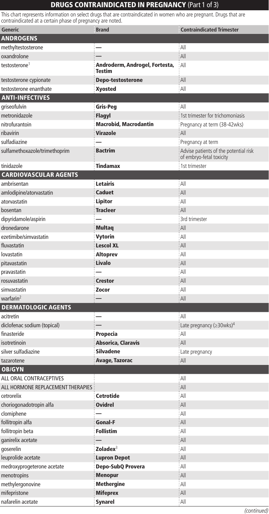## **DRUGS CONTRAINDICATED IN PREGNANCY (Part 1 of 3)**

This chart represents information on select drugs that are contraindicated in women who are pregnant. Drugs that are contraindicated at a certain phase of pregnancy are noted.

| a cortain priase or pregnancy are |                                                 |                                                                   |
|-----------------------------------|-------------------------------------------------|-------------------------------------------------------------------|
| Generic                           | <b>Brand</b>                                    | <b>Contraindicated Trimester</b>                                  |
| <b>ANDROGENS</b>                  |                                                 |                                                                   |
| methyltestosterone                |                                                 | ∶All                                                              |
| oxandrolone                       |                                                 | All                                                               |
| testosterone <sup>1</sup>         | Androderm, Androgel, Fortesta,<br><b>Testim</b> | All                                                               |
| testosterone cypionate            | Depo-testosterone                               | All                                                               |
| testosterone enanthate            | <b>Xyosted</b>                                  | All                                                               |
| <b>ANTI-INFECTIVES</b>            |                                                 |                                                                   |
| griseofulvin                      | Gris-Peg                                        | All                                                               |
| metronidazole                     | <b>Flagyl</b>                                   | 1st trimester for trichomoniasis                                  |
| nitrofurantoin                    | <b>Macrobid, Macrodantin</b>                    | Pregnancy at term (38-42wks)                                      |
| ribavirin                         | <b>Virazole</b>                                 | All                                                               |
| sulfadiazine                      |                                                 | Pregnancy at term                                                 |
| sulfamethoxazole/trimethoprim     | <b>Bactrim</b>                                  | Advise patients of the potential risk<br>of embryo-fetal toxicity |
| tinidazole                        | <b>Tindamax</b>                                 | 1st trimester                                                     |
| <b>CARDIOVASCULAR AGENTS</b>      |                                                 |                                                                   |
| ambrisentan                       | Letairis                                        | : All                                                             |
| amlodipine/atorvastatin           | <b>Caduet</b>                                   | All                                                               |
| atorvastatin                      | Lipitor                                         | All                                                               |
| bosentan                          | <b>Tracleer</b>                                 | All                                                               |
| dipyridamole/aspirin              |                                                 | 3rd trimester                                                     |
| dronedarone                       | <b>Multaq</b>                                   | : All                                                             |
| ezetimibe/simvastatin             | Vytorin                                         | All                                                               |
| fluvastatin                       | <b>Lescol XL</b>                                | All                                                               |
| lovastatin                        | <b>Altoprev</b>                                 | All                                                               |
| pitavastatin                      | Livalo                                          | All                                                               |
| pravastatin                       |                                                 | All                                                               |
| rosuvastatin                      | <b>Crestor</b>                                  | : All                                                             |
| simvastatin                       | Zocor                                           | All                                                               |
| warfarin <sup>2</sup>             |                                                 | : All                                                             |
| <b>DERMATOLOGIC AGENTS</b>        |                                                 |                                                                   |
| acitretin                         |                                                 | : All                                                             |
| diclofenac sodium (topical)       |                                                 | Late pregnancy ( $\geq$ 30wks) <sup>4</sup>                       |
| finasteride                       | Propecia                                        | All                                                               |
| isotretinoin                      | <b>Absorica, Claravis</b>                       | All                                                               |
| silver sulfadiazine               | <b>Silvadene</b>                                | Late pregnancy                                                    |
| tazarotene                        | Avage, Tazorac                                  | All                                                               |
| <b>OB/GYN</b>                     |                                                 |                                                                   |
| ALL ORAL CONTRACEPTIVES           |                                                 | All                                                               |
| ALL HORMONE REPLACEMENT THERAPIES |                                                 | All                                                               |
| cetrorelix                        | <b>Cetrotide</b>                                | All                                                               |
| choriogonadotropin alfa           | <b>Ovidrel</b>                                  | $\mathsf{All}$                                                    |
| clomiphene                        |                                                 | All                                                               |
| follitropin alfa                  | <b>Gonal-F</b>                                  | All                                                               |
| follitropin beta                  | <b>Follistim</b>                                | All                                                               |
| ganirelix acetate                 |                                                 | All                                                               |
| qoserelin                         | Zoladex <sup>3</sup>                            | All                                                               |
| leuprolide acetate                | <b>Lupron Depot</b>                             | All                                                               |
| medroxyprogeterone acetate        | Depo-SubQ Provera                               | All                                                               |
| menotropins                       | <b>Menopur</b>                                  | All                                                               |
| methylergonovine                  | <b>Methergine</b>                               | All                                                               |
| mifepristone                      | <b>Mifeprex</b>                                 | : All                                                             |
| nafarelin acetate                 | <b>Synarel</b>                                  | ∶All                                                              |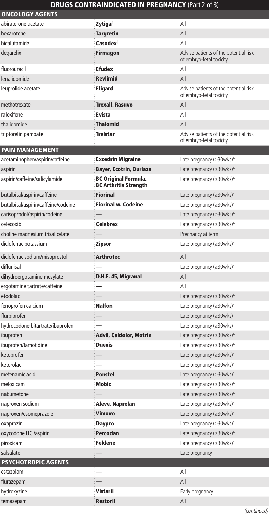## DRUGS CONTRAINDICATED IN PREGNANCY (Part 2 of 3)

| <b>ONCOLOGY AGENTS</b>              |                                                      |                                                                   |
|-------------------------------------|------------------------------------------------------|-------------------------------------------------------------------|
| abiraterone acetate                 | Zytiga <sup>1</sup>                                  | : All                                                             |
| bexarotene                          | Targretin                                            | All                                                               |
| bicalutamide                        | Casodex <sup>1</sup>                                 | All                                                               |
| degarelix                           | Firmagon                                             | Advise patients of the potential risk<br>of embryo-fetal toxicity |
| fluorouracil                        | <b>Efudex</b>                                        | All                                                               |
| lenalidomide                        | <b>Revlimid</b>                                      | All                                                               |
| leuprolide acetate                  | Eligard                                              | Advise patients of the potential risk<br>of embryo-fetal toxicity |
| methotrexate                        | Trexall, Rasuvo                                      | All                                                               |
| raloxifene                          | <b>Evista</b>                                        | All                                                               |
| thalidomide                         | <b>Thalomid</b>                                      | All                                                               |
| triptorelin pamoate                 | Trelstar                                             | Advise patients of the potential risk<br>of embryo-fetal toxicity |
| <b>PAIN MANAGEMENT</b>              |                                                      |                                                                   |
| acetaminophen/aspirin/caffeine      | <b>Excedrin Migraine</b>                             | : Late pregnancy (≥30wks) <sup>4</sup>                            |
| aspirin                             | Bayer, Ecotrin, Durlaza                              | Late pregnancy ( $\geq$ 30wks) <sup>4</sup>                       |
| aspirin/caffeine/salicylamide       | BC Original Formula,<br><b>BC Arthritis Strength</b> | Late pregnancy ( $\geq$ 30wks) <sup>4</sup>                       |
| butalbital/aspirin/caffeine         | Fiorinal                                             | Late pregnancy ( $\geq$ 30wks) <sup>4</sup>                       |
| butalbital/aspirin/caffeine/codeine | <b>Fiorinal w. Codeine</b>                           | Late pregnancy ( $\geq$ 30wks) <sup>4</sup>                       |
| carisoprodol/aspirin/codeine        |                                                      | Late pregnancy ( $\geq$ 30wks) <sup>4</sup>                       |
| celecoxib                           | <b>Celebrex</b>                                      | Late pregnancy ( $\geq$ 30wks) <sup>4</sup>                       |
| choline magnesium trisalicylate     |                                                      | Pregnancy at term                                                 |
| diclofenac potassium                | Zipsor                                               | Late pregnancy ( $\geq$ 30wks) <sup>4</sup>                       |
| diclofenac sodium/misoprostol       | <b>Arthrotec</b>                                     | All                                                               |
| diflunisal                          |                                                      | Late pregnancy ( $\geq$ 30wks) <sup>4</sup>                       |
| dihydroergotamine mesylate          | D.H.E. 45, Migranal                                  | All                                                               |
| ergotamine tartrate/caffeine        |                                                      | All                                                               |
| etodolac                            |                                                      | Late pregnancy ( $\geq$ 30wks) <sup>4</sup>                       |
| fenoprofen calcium                  | <b>Nalfon</b>                                        | Late pregnancy ( $\geq$ 30wks) <sup>4</sup>                       |
| flurbiprofen                        |                                                      | Late pregnancy $(\geq 30wks)$                                     |
| hydrocodone bitartrate/ibuprofen    |                                                      | Late pregnancy $(\geq 30wks)$                                     |
| ibuprofen                           | Advil, Caldolor, Motrin                              | Late pregnancy ( $\geq$ 30wks) <sup>4</sup>                       |
| ibuprofen/famotidine                | Duexis                                               | Late pregnancy ( $\geq$ 30wks) <sup>4</sup>                       |
| ketoprofen                          |                                                      | Late pregnancy ( $\geq$ 30wks) <sup>4</sup>                       |
| ketorolac                           |                                                      | Late pregnancy (≥30wks) <sup>4</sup>                              |
| mefenamic acid                      | Ponstel                                              | Late pregnancy (≥30wks) <sup>4</sup>                              |
| meloxicam                           | Mobic                                                | Late pregnancy ( $\geq$ 30wks) <sup>4</sup>                       |
| nabumetone                          |                                                      | Late pregnancy ( $\geq$ 30wks) <sup>4</sup>                       |
| naproxen sodium                     | Aleve, Naprelan                                      | Late pregnancy (≥30wks) <sup>4</sup>                              |
| naproxen/esomeprazole               | Vimovo                                               | Late pregnancy $(\geq 30$ wks) <sup>4</sup>                       |
| oxaprozin                           | <b>Daypro</b>                                        | Late pregnancy ( $\geq$ 30wks) <sup>4</sup>                       |
| oxycodone HCl/aspirin               | Percodan                                             | Late pregnancy (≥30wks) <sup>4</sup>                              |
| piroxicam                           | <b>Feldene</b>                                       | Late pregnancy $(\geq 30$ wks) <sup>4</sup>                       |
| salsalate                           |                                                      | : Late pregnancy                                                  |
| <b>PSYCHOTROPIC AGENTS</b>          |                                                      |                                                                   |
| estazolam                           |                                                      | : All                                                             |
| flurazepam                          |                                                      | : All                                                             |
| hydroxyzine                         | <b>Vistaril</b>                                      | Early pregnancy                                                   |
| temazepam                           | Restoril                                             | : All                                                             |

(continued)